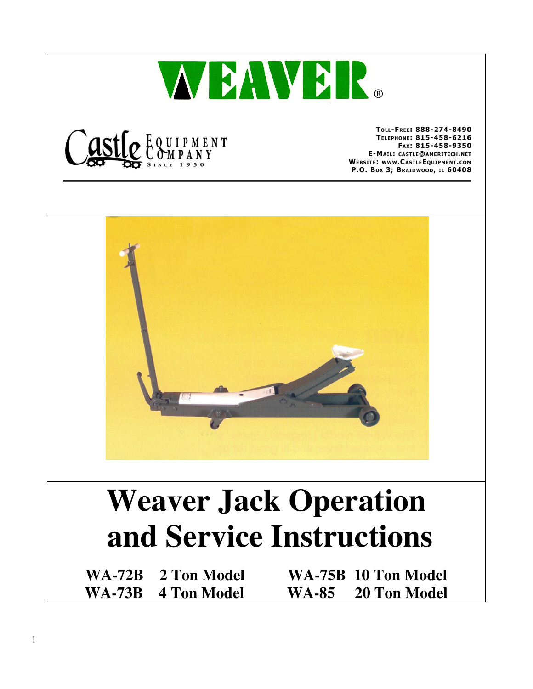



TOLL-FREE: 888-274-8490 TELEPHONE: 815-458-6216 FAX: 815-458-9350 E-MAIL: CASTLE@AMERITECH.NET **WEBSITE: WWW.CASTLEEQUIPMENT.COM** P.O. Box 3; BRAIDWOOD, IL 60408



## **Weaver Jack Operation and Service Instructions**

**WA-72B 2 Ton Model WA-75B 10 Ton Model WA-73B 4 Ton Model WA-85 20 Ton Model**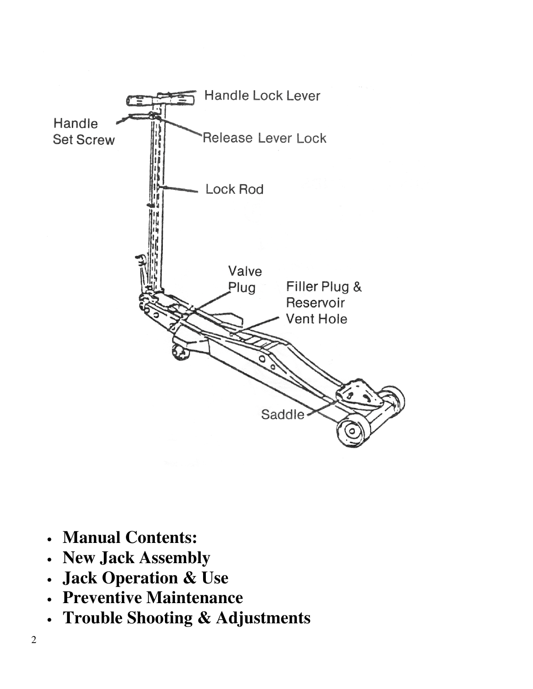

- **Manual Contents:**
- **New Jack Assembly**
- **Jack Operation & Use**
- **Preventive Maintenance**
- **Trouble Shooting & Adjustments**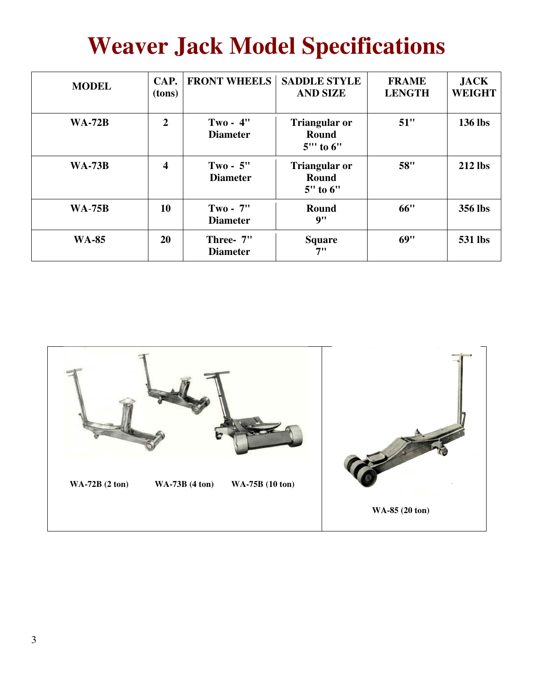### **Weaver Jack Model Specifications**

| <b>MODEL</b>  | CAP.<br>(tons)          | <b>FRONT WHEELS</b>           | <b>SADDLE STYLE</b><br><b>AND SIZE</b>    | <b>FRAME</b><br><b>LENGTH</b> | <b>JACK</b><br><b>WEIGHT</b> |
|---------------|-------------------------|-------------------------------|-------------------------------------------|-------------------------------|------------------------------|
| <b>WA-72B</b> | $\overline{2}$          | $Two - 4"$<br><b>Diameter</b> | <b>Triangular or</b><br>Round<br>5" to 6" | 51"                           | 136 lbs                      |
| <b>WA-73B</b> | $\overline{\mathbf{4}}$ | $Two - 5"$<br><b>Diameter</b> | <b>Triangular or</b><br>Round<br>5" to 6" | 58"                           | <b>212</b> lbs               |
| <b>WA-75B</b> | 10                      | $Two - 7"$<br><b>Diameter</b> | Round<br>9"                               | 66"                           | 356 lbs                      |
| <b>WA-85</b>  | <b>20</b>               | Three- 7"<br><b>Diameter</b>  | <b>Square</b><br>7"                       | 69"                           | <b>531 lbs</b>               |

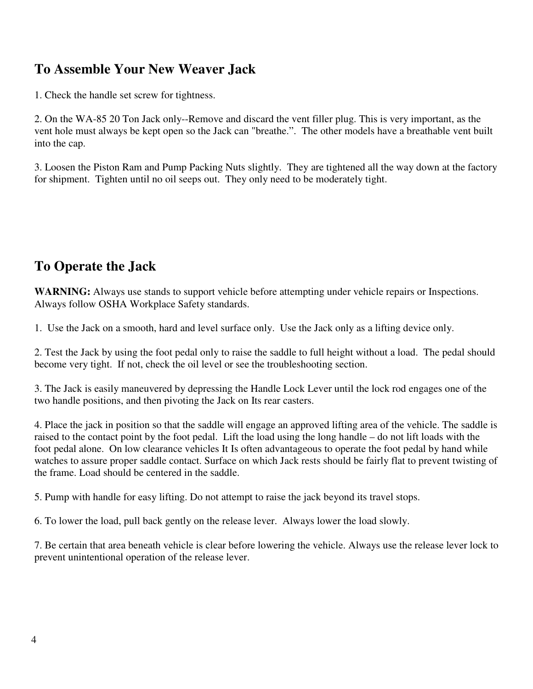#### **To Assemble Your New Weaver Jack**

1. Check the handle set screw for tightness.

2. On the WA-85 20 Ton Jack only--Remove and discard the vent filler plug. This is very important, as the vent hole must always be kept open so the Jack can "breathe.". The other models have a breathable vent built into the cap.

3. Loosen the Piston Ram and Pump Packing Nuts slightly. They are tightened all the way down at the factory for shipment. Tighten until no oil seeps out. They only need to be moderately tight.

#### **To Operate the Jack**

**WARNING:** Always use stands to support vehicle before attempting under vehicle repairs or Inspections. Always follow OSHA Workplace Safety standards.

1. Use the Jack on a smooth, hard and level surface only. Use the Jack only as a lifting device only.

2. Test the Jack by using the foot pedal only to raise the saddle to full height without a load. The pedal should become very tight. If not, check the oil level or see the troubleshooting section.

3. The Jack is easily maneuvered by depressing the Handle Lock Lever until the lock rod engages one of the two handle positions, and then pivoting the Jack on Its rear casters.

4. Place the jack in position so that the saddle will engage an approved lifting area of the vehicle. The saddle is raised to the contact point by the foot pedal. Lift the load using the long handle – do not lift loads with the foot pedal alone. On low clearance vehicles It Is often advantageous to operate the foot pedal by hand while watches to assure proper saddle contact. Surface on which Jack rests should be fairly flat to prevent twisting of the frame. Load should be centered in the saddle.

5. Pump with handle for easy lifting. Do not attempt to raise the jack beyond its travel stops.

6. To lower the load, pull back gently on the release lever. Always lower the load slowly.

7. Be certain that area beneath vehicle is clear before lowering the vehicle. Always use the release lever lock to prevent unintentional operation of the release lever.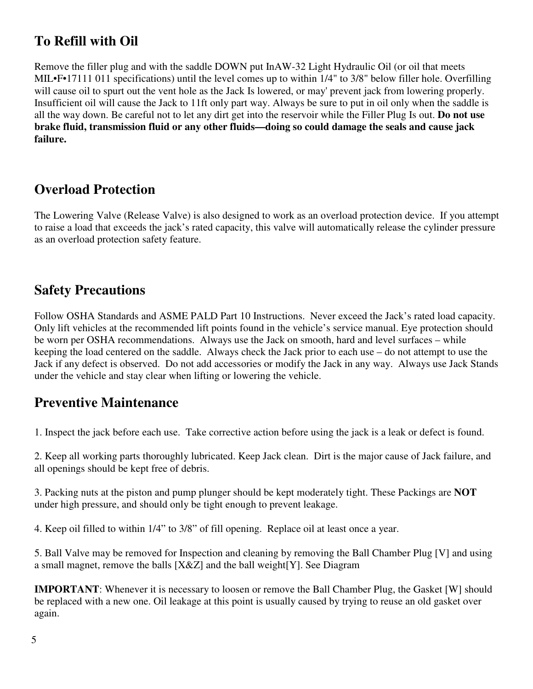#### **To Refill with Oil**

Remove the filler plug and with the saddle DOWN put InAW-32 Light Hydraulic Oil (or oil that meets MIL•F•17111 011 specifications) until the level comes up to within 1/4" to 3/8" below filler hole. Overfilling will cause oil to spurt out the vent hole as the Jack Is lowered, or may' prevent jack from lowering properly. Insufficient oil will cause the Jack to 11ft only part way. Always be sure to put in oil only when the saddle is all the way down. Be careful not to let any dirt get into the reservoir while the Filler Plug Is out. **Do not use brake fluid, transmission fluid or any other fluids—doing so could damage the seals and cause jack failure.**

#### **Overload Protection**

The Lowering Valve (Release Valve) is also designed to work as an overload protection device. If you attempt to raise a load that exceeds the jack's rated capacity, this valve will automatically release the cylinder pressure as an overload protection safety feature.

#### **Safety Precautions**

Follow OSHA Standards and ASME PALD Part 10 Instructions. Never exceed the Jack's rated load capacity. Only lift vehicles at the recommended lift points found in the vehicle's service manual. Eye protection should be worn per OSHA recommendations. Always use the Jack on smooth, hard and level surfaces – while keeping the load centered on the saddle. Always check the Jack prior to each use – do not attempt to use the Jack if any defect is observed. Do not add accessories or modify the Jack in any way. Always use Jack Stands under the vehicle and stay clear when lifting or lowering the vehicle.

#### **Preventive Maintenance**

1. Inspect the jack before each use. Take corrective action before using the jack is a leak or defect is found.

2. Keep all working parts thoroughly lubricated. Keep Jack clean. Dirt is the major cause of Jack failure, and all openings should be kept free of debris.

3. Packing nuts at the piston and pump plunger should be kept moderately tight. These Packings are **NOT** under high pressure, and should only be tight enough to prevent leakage.

4. Keep oil filled to within 1/4" to 3/8" of fill opening. Replace oil at least once a year.

5. Ball Valve may be removed for Inspection and cleaning by removing the Ball Chamber Plug [V] and using a small magnet, remove the balls [X&Z] and the ball weight[Y]. See Diagram

**IMPORTANT**: Whenever it is necessary to loosen or remove the Ball Chamber Plug, the Gasket [W] should be replaced with a new one. Oil leakage at this point is usually caused by trying to reuse an old gasket over again.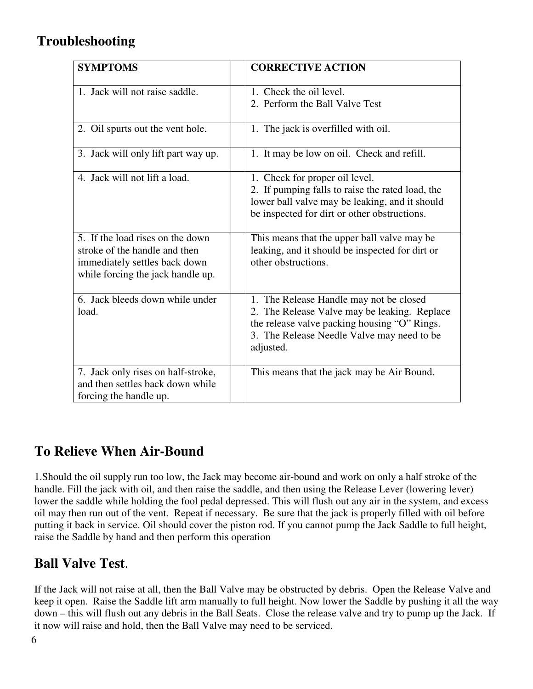### **Troubleshooting**

| <b>SYMPTOMS</b>                                                                                                                         | <b>CORRECTIVE ACTION</b>                                                                                                                                                                           |
|-----------------------------------------------------------------------------------------------------------------------------------------|----------------------------------------------------------------------------------------------------------------------------------------------------------------------------------------------------|
| 1. Jack will not raise saddle.                                                                                                          | 1. Check the oil level.<br>2. Perform the Ball Valve Test                                                                                                                                          |
| 2. Oil spurts out the vent hole.                                                                                                        | 1. The jack is overfilled with oil.                                                                                                                                                                |
| 3. Jack will only lift part way up.                                                                                                     | 1. It may be low on oil. Check and refill.                                                                                                                                                         |
| 4. Jack will not lift a load.                                                                                                           | 1. Check for proper oil level.<br>2. If pumping falls to raise the rated load, the<br>lower ball valve may be leaking, and it should<br>be inspected for dirt or other obstructions.               |
| 5. If the load rises on the down<br>stroke of the handle and then<br>immediately settles back down<br>while forcing the jack handle up. | This means that the upper ball valve may be<br>leaking, and it should be inspected for dirt or<br>other obstructions.                                                                              |
| 6. Jack bleeds down while under<br>load.                                                                                                | 1. The Release Handle may not be closed<br>2. The Release Valve may be leaking. Replace<br>the release valve packing housing "O" Rings.<br>3. The Release Needle Valve may need to be<br>adjusted. |
| 7. Jack only rises on half-stroke,<br>and then settles back down while<br>forcing the handle up.                                        | This means that the jack may be Air Bound.                                                                                                                                                         |

### **To Relieve When Air-Bound**

1.Should the oil supply run too low, the Jack may become air-bound and work on only a half stroke of the handle. Fill the jack with oil, and then raise the saddle, and then using the Release Lever (lowering lever) lower the saddle while holding the fool pedal depressed. This will flush out any air in the system, and excess oil may then run out of the vent. Repeat if necessary. Be sure that the jack is properly filled with oil before putting it back in service. Oil should cover the piston rod. If you cannot pump the Jack Saddle to full height, raise the Saddle by hand and then perform this operation

#### **Ball Valve Test**.

If the Jack will not raise at all, then the Ball Valve may be obstructed by debris. Open the Release Valve and keep it open. Raise the Saddle lift arm manually to full height. Now lower the Saddle by pushing it all the way down – this will flush out any debris in the Ball Seats. Close the release valve and try to pump up the Jack. If it now will raise and hold, then the Ball Valve may need to be serviced.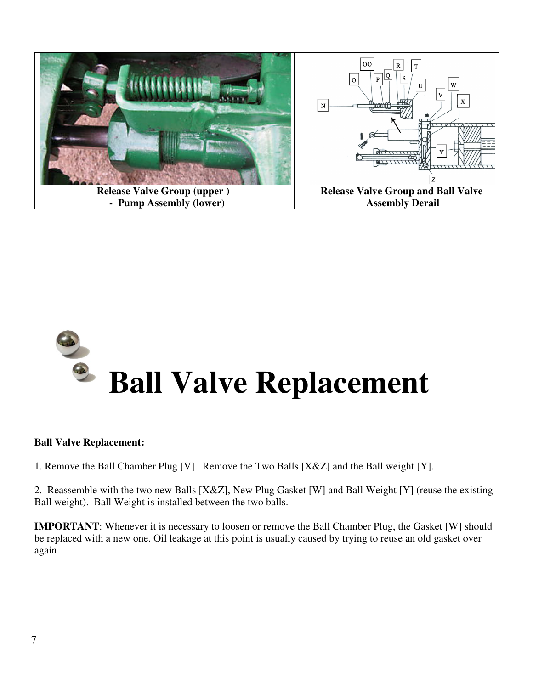



#### **Ball Valve Replacement:**

1. Remove the Ball Chamber Plug [V]. Remove the Two Balls [X&Z] and the Ball weight [Y].

2. Reassemble with the two new Balls [X&Z], New Plug Gasket [W] and Ball Weight [Y] (reuse the existing Ball weight). Ball Weight is installed between the two balls.

**IMPORTANT**: Whenever it is necessary to loosen or remove the Ball Chamber Plug, the Gasket [W] should be replaced with a new one. Oil leakage at this point is usually caused by trying to reuse an old gasket over again.